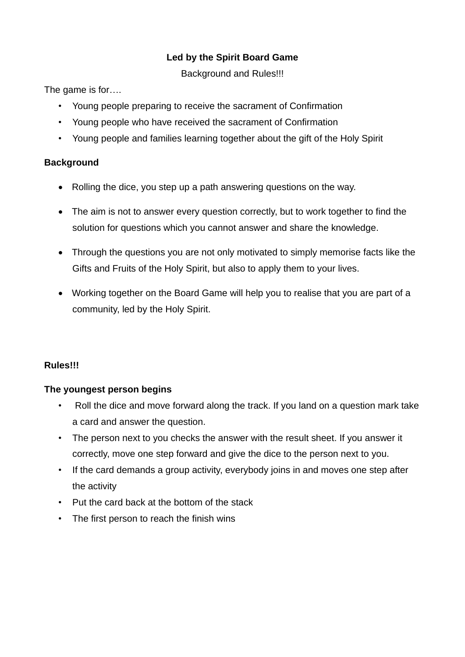# **Led by the Spirit Board Game**

Background and Rules!!!

The game is for....

- Young people preparing to receive the sacrament of Confirmation
- Young people who have received the sacrament of Confirmation
- Young people and families learning together about the gift of the Holy Spirit

# **Background**

- Rolling the dice, you step up a path answering questions on the way.
- The aim is not to answer every question correctly, but to work together to find the solution for questions which you cannot answer and share the knowledge.
- Through the questions you are not only motivated to simply memorise facts like the Gifts and Fruits of the Holy Spirit, but also to apply them to your lives.
- Working together on the Board Game will help you to realise that you are part of a community, led by the Holy Spirit.

# **Rules!!!**

# **The youngest person begins**

- Roll the dice and move forward along the track. If you land on a question mark take a card and answer the question.
- The person next to you checks the answer with the result sheet. If you answer it correctly, move one step forward and give the dice to the person next to you.
- If the card demands a group activity, everybody joins in and moves one step after the activity
- Put the card back at the bottom of the stack
- The first person to reach the finish wins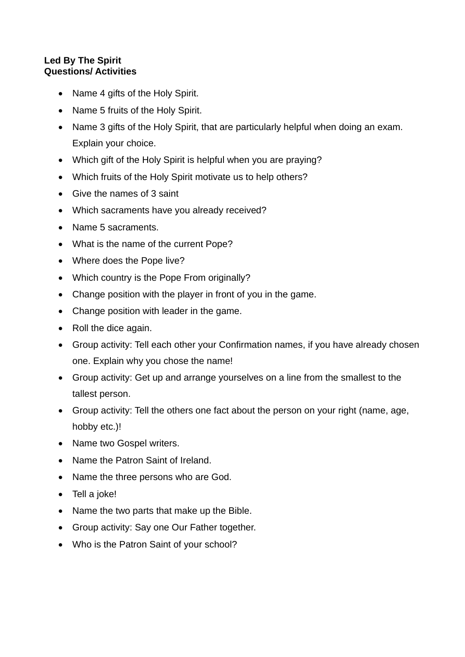## **Led By The Spirit Questions/ Activities**

- Name 4 gifts of the Holy Spirit.
- Name 5 fruits of the Holy Spirit.
- Name 3 gifts of the Holy Spirit, that are particularly helpful when doing an exam. Explain your choice.
- Which gift of the Holy Spirit is helpful when you are praying?
- Which fruits of the Holy Spirit motivate us to help others?
- Give the names of 3 saint
- Which sacraments have you already received?
- Name 5 sacraments.
- What is the name of the current Pope?
- Where does the Pope live?
- Which country is the Pope From originally?
- Change position with the player in front of you in the game.
- Change position with leader in the game.
- Roll the dice again.
- Group activity: Tell each other your Confirmation names, if you have already chosen one. Explain why you chose the name!
- Group activity: Get up and arrange yourselves on a line from the smallest to the tallest person.
- Group activity: Tell the others one fact about the person on your right (name, age, hobby etc.)!
- Name two Gospel writers.
- Name the Patron Saint of Ireland.
- Name the three persons who are God.
- Tell a joke!
- Name the two parts that make up the Bible.
- Group activity: Say one Our Father together.
- Who is the Patron Saint of your school?